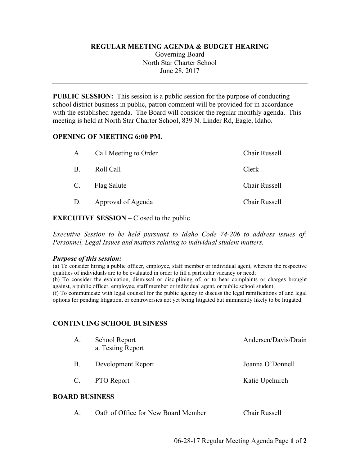#### **REGULAR MEETING AGENDA & BUDGET HEARING**

Governing Board North Star Charter School June 28, 2017

**PUBLIC SESSION:** This session is a public session for the purpose of conducting school district business in public, patron comment will be provided for in accordance with the established agenda. The Board will consider the regular monthly agenda. This meeting is held at North Star Charter School, 839 N. Linder Rd, Eagle, Idaho.

#### **OPENING OF MEETING 6:00 PM.**

| A.        | Call Meeting to Order | Chair Russell |
|-----------|-----------------------|---------------|
| <b>B.</b> | Roll Call             | Clerk         |
|           | C. Flag Salute        | Chair Russell |
| D.        | Approval of Agenda    | Chair Russell |

## **EXECUTIVE SESSION** – Closed to the public

*Executive Session to be held pursuant to Idaho Code 74-206 to address issues of: Personnel, Legal Issues and matters relating to individual student matters.*

## *Purpose of this session:*

(a) To consider hiring a public officer, employee, staff member or individual agent, wherein the respective qualities of individuals are to be evaluated in order to fill a particular vacancy or need; (b) To consider the evaluation, dismissal or disciplining of, or to hear complaints or charges brought against, a public officer, employee, staff member or individual agent, or public school student; (f) To communicate with legal counsel for the public agency to discuss the legal ramifications of and legal options for pending litigation, or controversies not yet being litigated but imminently likely to be litigated.

## **CONTINUING SCHOOL BUSINESS**

| А.                    | School Report<br>a. Testing Report | Andersen/Davis/Drain |  |  |  |
|-----------------------|------------------------------------|----------------------|--|--|--|
| B.                    | Development Report                 | Joanna O'Donnell     |  |  |  |
| $\mathbb{C}$ .        | <b>PTO</b> Report                  | Katie Upchurch       |  |  |  |
| <b>BOARD BUSINESS</b> |                                    |                      |  |  |  |

A. Oath of Office for New Board Member Chair Russell